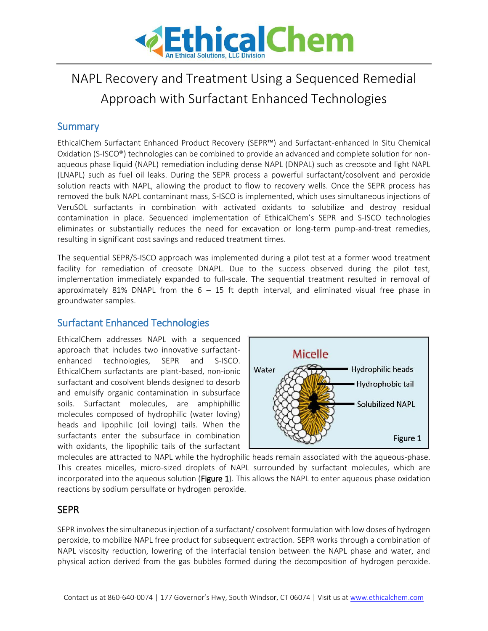

# NAPL Recovery and Treatment Using a Sequenced Remedial Approach with Surfactant Enhanced Technologies

## **Summary**

EthicalChem Surfactant Enhanced Product Recovery (SEPR™) and Surfactant-enhanced In Situ Chemical Oxidation (S-ISCO®) technologies can be combined to provide an advanced and complete solution for nonaqueous phase liquid (NAPL) remediation including dense NAPL (DNPAL) such as creosote and light NAPL (LNAPL) such as fuel oil leaks. During the SEPR process a powerful surfactant/cosolvent and peroxide solution reacts with NAPL, allowing the product to flow to recovery wells. Once the SEPR process has removed the bulk NAPL contaminant mass, S-ISCO is implemented, which uses simultaneous injections of VeruSOL surfactants in combination with activated oxidants to solubilize and destroy residual contamination in place. Sequenced implementation of EthicalChem's SEPR and S-ISCO technologies eliminates or substantially reduces the need for excavation or long-term pump-and-treat remedies, resulting in significant cost savings and reduced treatment times.

The sequential SEPR/S-ISCO approach was implemented during a pilot test at a former wood treatment facility for remediation of creosote DNAPL. Due to the success observed during the pilot test, implementation immediately expanded to full-scale. The sequential treatment resulted in removal of approximately 81% DNAPL from the  $6 - 15$  ft depth interval, and eliminated visual free phase in groundwater samples.

## Surfactant Enhanced Technologies

EthicalChem addresses NAPL with a sequenced approach that includes two innovative surfactantenhanced technologies, SEPR and S-ISCO. EthicalChem surfactants are plant-based, non-ionic surfactant and cosolvent blends designed to desorb and emulsify organic contamination in subsurface soils. Surfactant molecules, are amphiphillic molecules composed of hydrophilic (water loving) heads and lipophilic (oil loving) tails. When the surfactants enter the subsurface in combination with oxidants, the lipophilic tails of the surfactant



molecules are attracted to NAPL while the hydrophilic heads remain associated with the aqueous-phase. This creates micelles, micro-sized droplets of NAPL surrounded by surfactant molecules, which are incorporated into the aqueous solution (Figure 1). This allows the NAPL to enter aqueous phase oxidation reactions by sodium persulfate or hydrogen peroxide.

#### **SEPR**

SEPR involves the simultaneous injection of a surfactant/ cosolvent formulation with low doses of hydrogen peroxide, to mobilize NAPL free product for subsequent extraction. SEPR works through a combination of NAPL viscosity reduction, lowering of the interfacial tension between the NAPL phase and water, and physical action derived from the gas bubbles formed during the decomposition of hydrogen peroxide.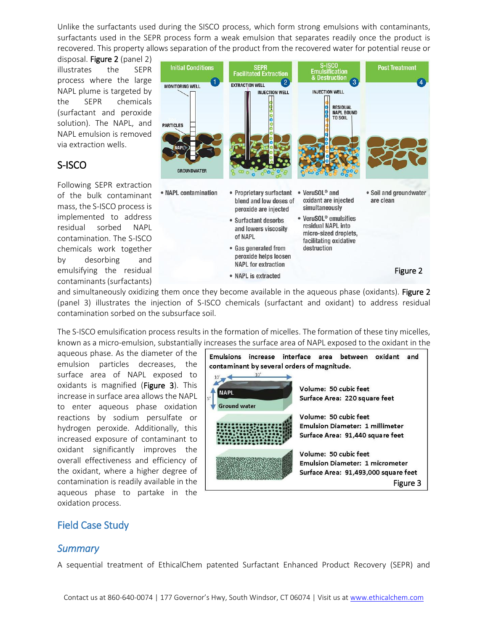Unlike the surfactants used during the SISCO process, which form strong emulsions with contaminants, surfactants used in the SEPR process form a weak emulsion that separates readily once the product is recovered. This property allows separation of the product from the recovered water for potential reuse or

disposal. Figure 2 (panel 2) illustrates the SEPR process where the large NAPL plume is targeted by the SEPR chemicals (surfactant and peroxide solution). The NAPL, and NAPL emulsion is removed via extraction wells.

# S-ISCO

Following SEPR extraction of the bulk contaminant mass, the S-ISCO process is implemented to address residual sorbed NAPL contamination. The S-ISCO chemicals work together by desorbing and emulsifying the residual contaminants (surfactants)



and simultaneously oxidizing them once they become available in the aqueous phase (oxidants). Figure 2 (panel 3) illustrates the injection of S-ISCO chemicals (surfactant and oxidant) to address residual contamination sorbed on the subsurface soil.

The S-ISCO emulsification process results in the formation of micelles. The formation of these tiny micelles, known as a micro-emulsion, substantially increases the surface area of NAPL exposed to the oxidant in the

aqueous phase. As the diameter of the emulsion particles decreases, the surface area of NAPL exposed to oxidants is magnified (Figure 3). This increase in surface area allows the NAPL to enter aqueous phase oxidation reactions by sodium persulfate or hydrogen peroxide. Additionally, this increased exposure of contaminant to oxidant significantly improves the overall effectiveness and efficiency of the oxidant, where a higher degree of contamination is readily available in the aqueous phase to partake in the oxidation process.

| <b>Emulsions</b><br>increase<br>contaminant by several orders of magnitude.<br>10'<br>10 | interface<br>oxidant<br>between<br>and<br>area                                                                      |
|------------------------------------------------------------------------------------------|---------------------------------------------------------------------------------------------------------------------|
| <b>NAPL</b><br>5'<br><b>Ground water</b>                                                 | Volume: 50 cubic feet<br>Surface Area: 220 square feet                                                              |
|                                                                                          | Volume: 50 cubic feet<br><b>Emulsion Diameter: 1 millimeter</b><br>Surface Area: 91,440 square feet                 |
|                                                                                          | Volume: 50 cubic feet<br><b>Emulsion Diameter: 1 micrometer</b><br>Surface Area: 91,493,000 square feet<br>Figure 3 |

## Field Case Study

#### *Summary*

A sequential treatment of EthicalChem patented Surfactant Enhanced Product Recovery (SEPR) and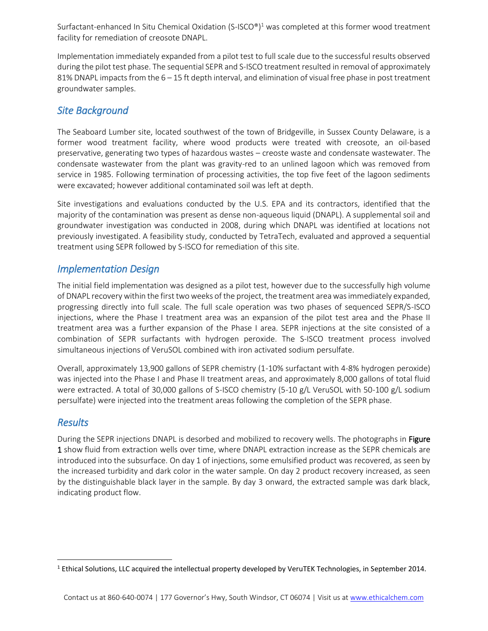Surfactant-enhanced In Situ Chemical Oxidation (S-ISCO®)<sup>1</sup> was completed at this former wood treatment facility for remediation of creosote DNAPL.

Implementation immediately expanded from a pilot test to full scale due to the successful results observed during the pilot test phase. The sequential SEPR and S-ISCO treatment resulted in removal of approximately 81% DNAPL impacts from the 6 – 15 ft depth interval, and elimination of visual free phase in post treatment groundwater samples.

## *Site Background*

The Seaboard Lumber site, located southwest of the town of Bridgeville, in Sussex County Delaware, is a former wood treatment facility, where wood products were treated with creosote, an oil-based preservative, generating two types of hazardous wastes – creoste waste and condensate wastewater. The condensate wastewater from the plant was gravity-red to an unlined lagoon which was removed from service in 1985. Following termination of processing activities, the top five feet of the lagoon sediments were excavated; however additional contaminated soil was left at depth.

Site investigations and evaluations conducted by the U.S. EPA and its contractors, identified that the majority of the contamination was present as dense non-aqueous liquid (DNAPL). A supplemental soil and groundwater investigation was conducted in 2008, during which DNAPL was identified at locations not previously investigated. A feasibility study, conducted by TetraTech, evaluated and approved a sequential treatment using SEPR followed by S-ISCO for remediation of this site.

#### *Implementation Design*

The initial field implementation was designed as a pilot test, however due to the successfully high volume of DNAPL recovery within the first two weeks of the project, the treatment area was immediately expanded, progressing directly into full scale. The full scale operation was two phases of sequenced SEPR/S-ISCO injections, where the Phase I treatment area was an expansion of the pilot test area and the Phase II treatment area was a further expansion of the Phase I area. SEPR injections at the site consisted of a combination of SEPR surfactants with hydrogen peroxide. The S-ISCO treatment process involved simultaneous injections of VeruSOL combined with iron activated sodium persulfate.

Overall, approximately 13,900 gallons of SEPR chemistry (1-10% surfactant with 4-8% hydrogen peroxide) was injected into the Phase I and Phase II treatment areas, and approximately 8,000 gallons of total fluid were extracted. A total of 30,000 gallons of S-ISCO chemistry (5-10 g/L VeruSOL with 50-100 g/L sodium persulfate) were injected into the treatment areas following the completion of the SEPR phase.

#### *Results*

 $\overline{\phantom{a}}$ 

During the SEPR injections DNAPL is desorbed and mobilized to recovery wells. The photographs in Figure 1 show fluid from extraction wells over time, where DNAPL extraction increase as the SEPR chemicals are introduced into the subsurface. On day 1 of injections, some emulsified product was recovered, as seen by the increased turbidity and dark color in the water sample. On day 2 product recovery increased, as seen by the distinguishable black layer in the sample. By day 3 onward, the extracted sample was dark black, indicating product flow.

<sup>1</sup> Ethical Solutions, LLC acquired the intellectual property developed by VeruTEK Technologies, in September 2014.